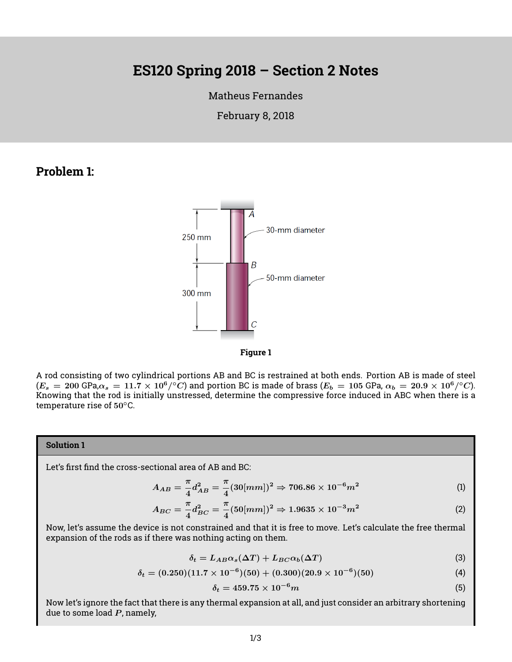# **ES120 Spring 2018 – Section 2 Notes**

#### [Matheus Fernandes](http://fer.me)

February 8, 2018

### **Problem 1:**





A rod consisting of two cylindrical portions AB and BC is restrained at both ends. Portion AB is made of steel  $(E_s=200$  GPa, $\alpha_s=11.7\times10^6/^\circ C)$  and portion BC is made of brass  $(E_b=105$  GPa,  $\alpha_b=20.9\times10^6/^\circ C)$ . Knowing that the rod is initially unstressed, determine the compressive force induced in ABC when there is a temperature rise of 50<sup>°</sup>C.

#### **Solution 1**

Let's first find the cross-sectional area of AB and BC:

$$
A_{AB} = \frac{\pi}{4} d_{AB}^2 = \frac{\pi}{4} (30 [mm])^2 \Rightarrow 706.86 \times 10^{-6} m^2 \tag{1}
$$

$$
A_{BC} = \frac{\pi}{4} d_{BC}^2 = \frac{\pi}{4} (50 [mm])^2 \Rightarrow 1.9635 \times 10^{-3} m^2 \tag{2}
$$

Now, let's assume the device is not constrained and that it is free to move. Let's calculate the free thermal expansion of the rods as if there was nothing acting on them.

$$
\delta_t = L_{AB}\alpha_s(\Delta T) + L_{BC}\alpha_b(\Delta T) \tag{3}
$$

$$
\delta_t = (0.250)(11.7 \times 10^{-6})(50) + (0.300)(20.9 \times 10^{-6})(50) \tag{4}
$$

$$
\delta_t = 459.75 \times 10^{-6} m \tag{5}
$$

Now let's ignore the fact that there is any thermal expansion at all, and just consider an arbitrary shortening due to some load  $P$ , namely,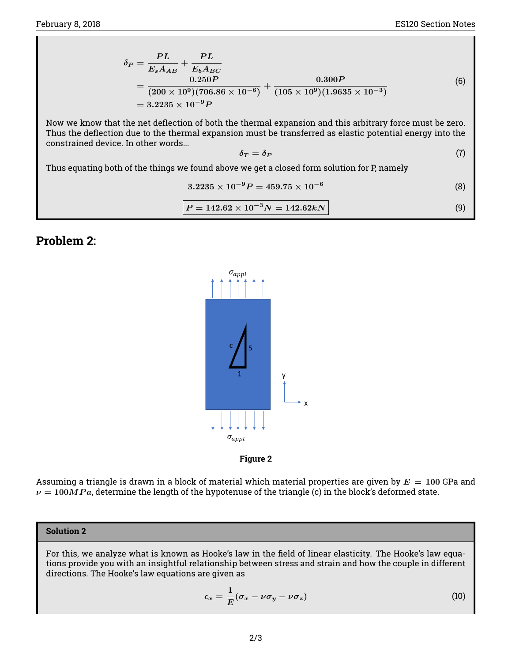$$
\delta_P = \frac{PL}{E_s A_{AB}} + \frac{PL}{E_b A_{BC}}
$$
  
= 
$$
\frac{0.250P}{(200 \times 10^9)(706.86 \times 10^{-6})} + \frac{0.300P}{(105 \times 10^9)(1.9635 \times 10^{-3})}
$$
  
= 3.2235 × 10<sup>-9</sup>P (6)

Now we know that the net deflection of both the thermal expansion and this arbitrary force must be zero. Thus the deflection due to the thermal expansion must be transferred as elastic potential energy into the constrained device. In other words...

$$
\delta_T = \delta_P \tag{7}
$$

Thus equating both of the things we found above we get a closed form solution for P, namely

$$
3.2235 \times 10^{-9} P = 459.75 \times 10^{-6}
$$
 (8)

$$
P = 142.62 \times 10^{-3} N = 142.62 kN
$$
\n(9)

## **Problem 2:**





Assuming a triangle is drawn in a block of material which material properties are given by  $E = 100$  GPa and  $\nu = 100MPa$ , determine the length of the hypotenuse of the triangle (c) in the block's deformed state.

#### **Solution 2**

For this, we analyze what is known as Hooke's law in the field of linear elasticity. The Hooke's law equations provide you with an insightful relationship between stress and strain and how the couple in different directions. The Hooke's law equations are given as

<span id="page-1-0"></span>
$$
\epsilon_x = \frac{1}{E} (\sigma_x - \nu \sigma_y - \nu \sigma_z)
$$
 (10)